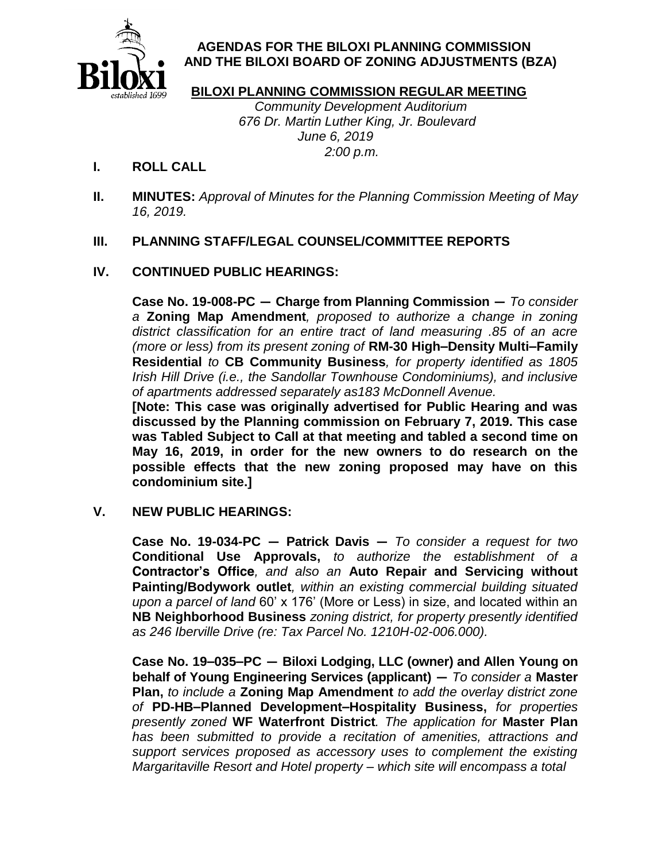

# **AGENDAS FOR THE BILOXI PLANNING COMMISSION AND THE BILOXI BOARD OF ZONING ADJUSTMENTS (BZA)**

### **BILOXI PLANNING COMMISSION REGULAR MEETING**

 Community Development Auditorium 676 Dr. Martin Luther King, Jr. Boulevard June 6, 2019 2:00 p.m.

# **I. ROLL CALL**

**II. MINUTES:** Approval of Minutes for the Planning Commission Meeting of May 16, 2019.

# **III. PLANNING STAFF/LEGAL COUNSEL/COMMITTEE REPORTS**

# **IV. CONTINUED PUBLIC HEARINGS:**

**Case No. 19-008-PC — Charge from Planning Commission —** To consider a **Zoning Map Amendment**, proposed to authorize a change in zoning district classification for an entire tract of land measuring .85 of an acre (more or less) from its present zoning of **RM-30 High–Density Multi–Family Residential** to **CB Community Business**, for property identified as 1805 Irish Hill Drive (i.e., the Sandollar Townhouse Condominiums), and inclusive of apartments addressed separately as183 McDonnell Avenue.

**[Note: This case was originally advertised for Public Hearing and was discussed by the Planning commission on February 7, 2019. This case was Tabled Subject to Call at that meeting and tabled a second time on May 16, 2019, in order for the new owners to do research on the possible effects that the new zoning proposed may have on this condominium site.]**

### **V. NEW PUBLIC HEARINGS:**

**Case No. 19-034-PC — Patrick Davis —** To consider a request for two **Conditional Use Approvals,** to authorize the establishment of a **Contractor's Office**, and also an **Auto Repair and Servicing without Painting/Bodywork outlet**, within an existing commercial building situated upon a parcel of land 60' x 176' (More or Less) in size, and located within an **NB Neighborhood Business** zoning district, for property presently identified as 246 Iberville Drive (re: Tax Parcel No. 1210H-02-006.000).

**Case No. 19–035–PC — Biloxi Lodging, LLC (owner) and Allen Young on behalf of Young Engineering Services (applicant) —** To consider a **Master Plan,** to include a **Zoning Map Amendment** to add the overlay district zone of **PD-HB–Planned Development–Hospitality Business,** for properties presently zoned **WF Waterfront District**. The application for **Master Plan** has been submitted to provide a recitation of amenities, attractions and support services proposed as accessory uses to complement the existing Margaritaville Resort and Hotel property – which site will encompass a total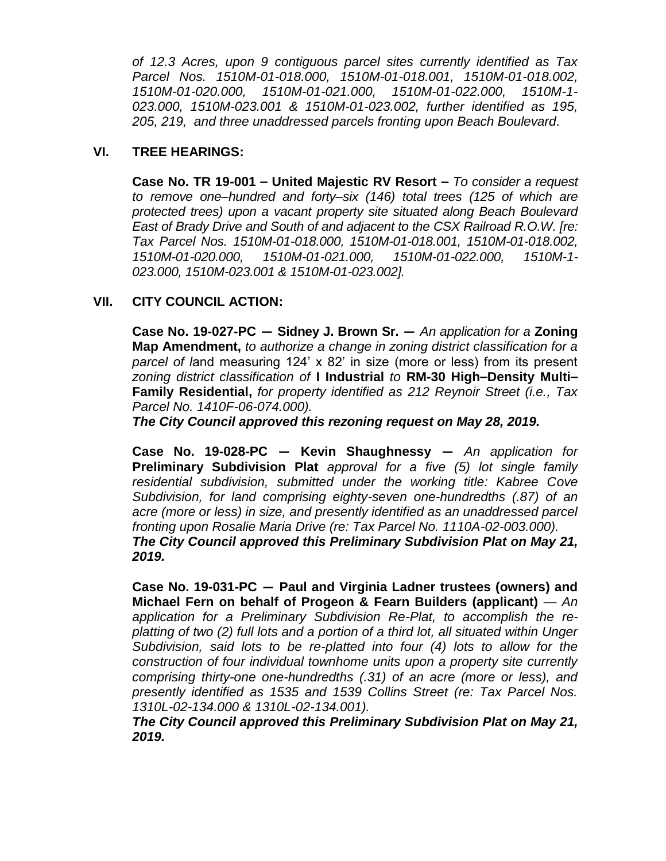of 12.3 Acres, upon 9 contiguous parcel sites currently identified as Tax Parcel Nos. 1510M-01-018.000, 1510M-01-018.001, 1510M-01-018.002, 1510M-01-020.000, 1510M-01-021.000, 1510M-01-022.000, 1510M-1- 023.000, 1510M-023.001 & 1510M-01-023.002, further identified as 195, 205, 219, and three unaddressed parcels fronting upon Beach Boulevard.

#### **VI. TREE HEARINGS:**

**Case No. TR 19-001 – United Majestic RV Resort –** To consider a request to remove one–hundred and forty–six (146) total trees (125 of which are protected trees) upon a vacant property site situated along Beach Boulevard East of Brady Drive and South of and adjacent to the CSX Railroad R.O.W. [re: Tax Parcel Nos. 1510M-01-018.000, 1510M-01-018.001, 1510M-01-018.002, 1510M-01-020.000, 1510M-01-021.000, 1510M-01-022.000, 1510M-1- 023.000, 1510M-023.001 & 1510M-01-023.002].

### **VII. CITY COUNCIL ACTION:**

**Case No. 19-027-PC — Sidney J. Brown Sr. —** An application for a **Zoning Map Amendment,** to authorize a change in zoning district classification for a parcel of land measuring 124' x 82' in size (more or less) from its present zoning district classification of **I Industrial** to **RM-30 High–Density Multi– Family Residential,** for property identified as 212 Reynoir Street (i.e., Tax Parcel No. 1410F-06-074.000).

*The City Council approved this rezoning request on May 28, 2019.*

**Case No. 19-028-PC — Kevin Shaughnessy —** An application for **Preliminary Subdivision Plat** approval for a five (5) lot single family residential subdivision, submitted under the working title: Kabree Cove Subdivision, for land comprising eighty-seven one-hundredths (.87) of an acre (more or less) in size, and presently identified as an unaddressed parcel fronting upon Rosalie Maria Drive (re: Tax Parcel No. 1110A-02-003.000). *The City Council approved this Preliminary Subdivision Plat on May 21, 2019.*

**Case No. 19-031-PC — Paul and Virginia Ladner trustees (owners) and Michael Fern on behalf of Progeon & Fearn Builders (applicant)** — An application for a Preliminary Subdivision Re-Plat, to accomplish the replatting of two (2) full lots and a portion of a third lot, all situated within Unger Subdivision, said lots to be re-platted into four (4) lots to allow for the construction of four individual townhome units upon a property site currently comprising thirty-one one-hundredths (.31) of an acre (more or less), and presently identified as 1535 and 1539 Collins Street (re: Tax Parcel Nos. 1310L-02-134.000 & 1310L-02-134.001).

*The City Council approved this Preliminary Subdivision Plat on May 21, 2019.*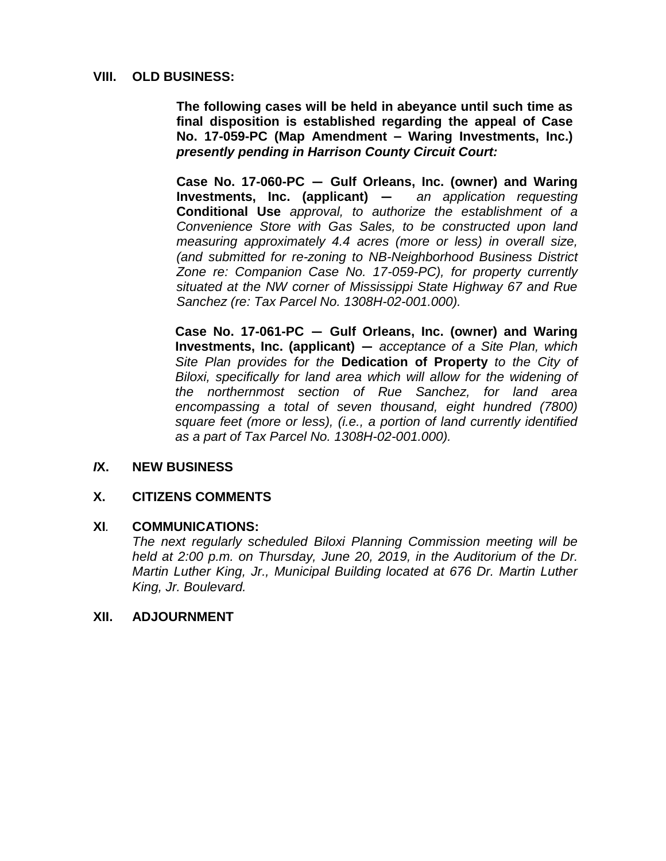### **VIII. OLD BUSINESS:**

**The following cases will be held in abeyance until such time as final disposition is established regarding the appeal of Case No. 17-059-PC (Map Amendment – Waring Investments, Inc.)** *presently pending in Harrison County Circuit Court:*

**Case No. 17-060-PC — Gulf Orleans, Inc. (owner) and Waring Investments, Inc. (applicant) —** an application requesting **Conditional Use** approval, to authorize the establishment of a Convenience Store with Gas Sales, to be constructed upon land measuring approximately 4.4 acres (more or less) in overall size, (and submitted for re-zoning to NB-Neighborhood Business District Zone re: Companion Case No. 17-059-PC), for property currently situated at the NW corner of Mississippi State Highway 67 and Rue Sanchez (re: Tax Parcel No. 1308H-02-001.000).

**Case No. 17-061-PC — Gulf Orleans, Inc. (owner) and Waring Investments, Inc. (applicant) —** acceptance of a Site Plan, which Site Plan provides for the **Dedication of Property** to the City of Biloxi, specifically for land area which will allow for the widening of the northernmost section of Rue Sanchez, for land area encompassing a total of seven thousand, eight hundred (7800) square feet (more or less), (i.e., a portion of land currently identified as a part of Tax Parcel No. 1308H-02-001.000).

### *I***X. NEW BUSINESS**

#### **X. CITIZENS COMMENTS**

#### **XI***.* **COMMUNICATIONS:**

The next regularly scheduled Biloxi Planning Commission meeting will be held at 2:00 p.m. on Thursday, June 20, 2019, in the Auditorium of the Dr. Martin Luther King, Jr., Municipal Building located at 676 Dr. Martin Luther King, Jr. Boulevard.

#### **XII. ADJOURNMENT**